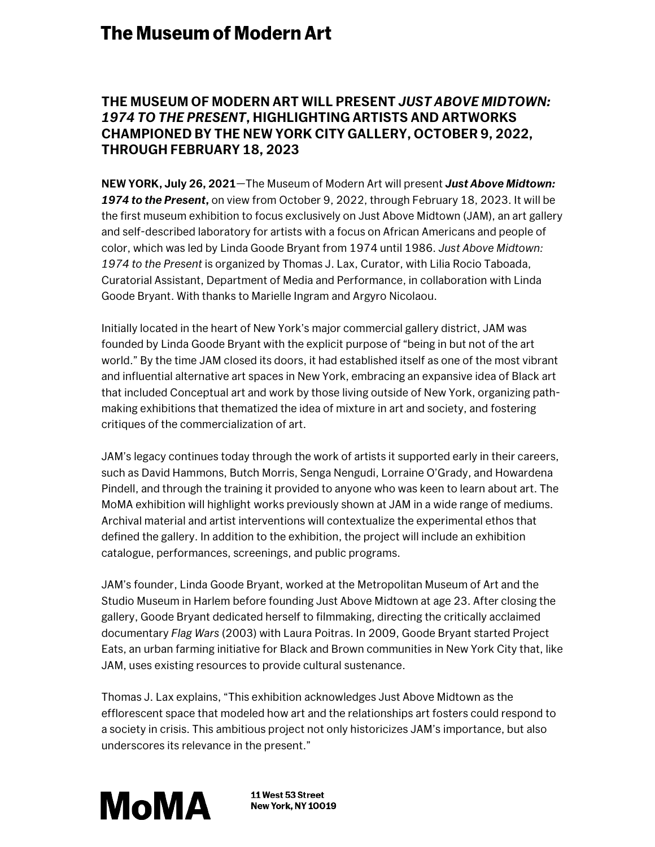## **The Museum of Modern Art**

## **THE MUSEUM OF MODERN ART WILL PRESENT** *JUST ABOVE MIDTOWN: 1974 TO THE PRESENT***, HIGHLIGHTING ARTISTS AND ARTWORKS CHAMPIONED BY THE NEW YORK CITY GALLERY, OCTOBER 9, 2022, THROUGH FEBRUARY 18, 2023**

**NEW YORK, July 26, 2021**—The Museum of Modern Art will present *Just Above Midtown: 1974 to the Present***,** on view from October 9, 2022, through February 18, 2023. It will be the first museum exhibition to focus exclusively on Just Above Midtown (JAM), an art gallery and self-described laboratory for artists with a focus on African Americans and people of color, which was led by Linda Goode Bryant from 1974 until 1986. *Just Above Midtown: 1974 to the Present* is organized by Thomas J. Lax, Curator, with Lilia Rocio Taboada, Curatorial Assistant, Department of Media and Performance, in collaboration with Linda Goode Bryant. With thanks to Marielle Ingram and Argyro Nicolaou.

Initially located in the heart of New York's major commercial gallery district, JAM was founded by Linda Goode Bryant with the explicit purpose of "being in but not of the art world." By the time JAM closed its doors, it had established itself as one of the most vibrant and influential alternative art spaces in New York, embracing an expansive idea of Black art that included Conceptual art and work by those living outside of New York, organizing pathmaking exhibitions that thematized the idea of mixture in art and society, and fostering critiques of the commercialization of art.

JAM's legacy continues today through the work of artists it supported early in their careers, such as David Hammons, Butch Morris, Senga Nengudi, Lorraine O'Grady, and Howardena Pindell, and through the training it provided to anyone who was keen to learn about art. The MoMA exhibition will highlight works previously shown at JAM in a wide range of mediums. Archival material and artist interventions will contextualize the experimental ethos that defined the gallery. In addition to the exhibition, the project will include an exhibition catalogue, performances, screenings, and public programs.

JAM's founder, Linda Goode Bryant, worked at the Metropolitan Museum of Art and the Studio Museum in Harlem before founding Just Above Midtown at age 23. After closing the gallery, Goode Bryant dedicated herself to filmmaking, directing the critically acclaimed documentary *Flag Wars* (2003) with Laura Poitras. In 2009, Goode Bryant started Project Eats, an urban farming initiative for Black and Brown communities in New York City that, like JAM, uses existing resources to provide cultural sustenance.

Thomas J. Lax explains, "This exhibition acknowledges Just Above Midtown as the efflorescent space that modeled how art and the relationships art fosters could respond to a society in crisis. This ambitious project not only historicizes JAM's importance, but also underscores its relevance in the present."



11 West 53 Street **New York, NY 10019**